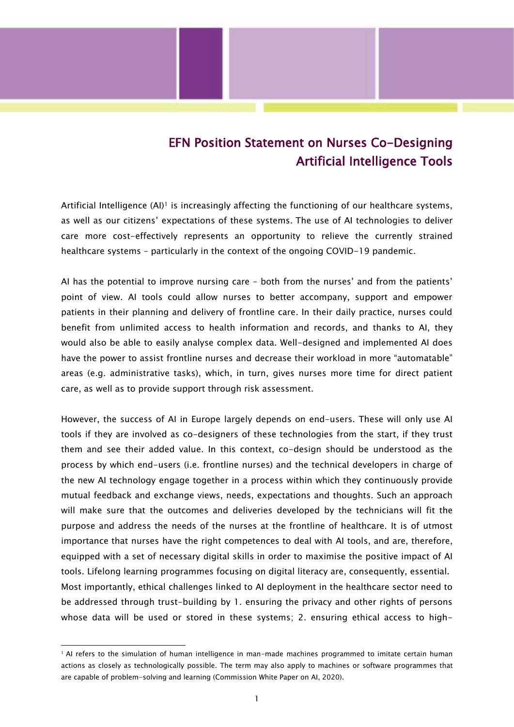## EFN Position Statement on Nurses Co-Designing Artificial Intelligence Tools

Artificial Intelligence  $(A)$ <sup>1</sup> is increasingly affecting the functioning of our healthcare systems, as well as our citizens' expectations of these systems. The use of AI technologies to deliver care more cost-effectively represents an opportunity to relieve the currently strained healthcare systems – particularly in the context of the ongoing COVID-19 pandemic.

AI has the potential to improve nursing care – both from the nurses' and from the patients' point of view. AI tools could allow nurses to better accompany, support and empower patients in their planning and delivery of frontline care. In their daily practice, nurses could benefit from unlimited access to health information and records, and thanks to AI, they would also be able to easily analyse complex data. Well-designed and implemented AI does have the power to assist frontline nurses and decrease their workload in more "automatable" areas (e.g. administrative tasks), which, in turn, gives nurses more time for direct patient care, as well as to provide support through risk assessment.

However, the success of AI in Europe largely depends on end-users. These will only use AI tools if they are involved as co-designers of these technologies from the start, if they trust them and see their added value. In this context, co-design should be understood as the process by which end-users (i.e. frontline nurses) and the technical developers in charge of the new AI technology engage together in a process within which they continuously provide mutual feedback and exchange views, needs, expectations and thoughts. Such an approach will make sure that the outcomes and deliveries developed by the technicians will fit the purpose and address the needs of the nurses at the frontline of healthcare. It is of utmost importance that nurses have the right competences to deal with AI tools, and are, therefore, equipped with a set of necessary digital skills in order to maximise the positive impact of AI tools. Lifelong learning programmes focusing on digital literacy are, consequently, essential. Most importantly, ethical challenges linked to AI deployment in the healthcare sector need to be addressed through trust-building by 1. ensuring the privacy and other rights of persons whose data will be used or stored in these systems; 2. ensuring ethical access to high-

 $1$  AI refers to the simulation of human intelligence in man-made machines programmed to imitate certain human actions as closely as technologically possible. The term may also apply to machines or software programmes that are capable of problem-solving and learning (Commission White Paper on AI, 2020).